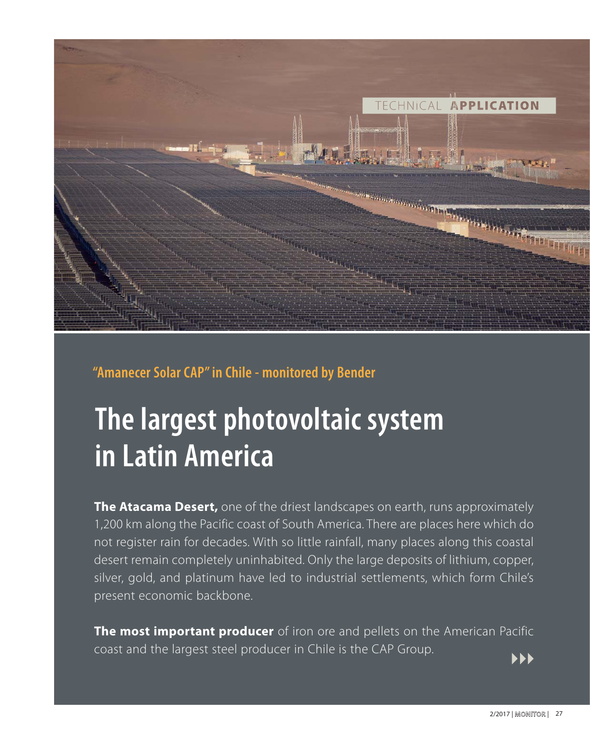

## **"Amanecer Solar CAP" in Chile - monitored by Bender**

## **The largest photovoltaic system in Latin America**

**The Atacama Desert,** one of the driest landscapes on earth, runs approximately 1,200 km along the Pacific coast of South America. There are places here which do not register rain for decades. With so little rainfall, many places along this coastal desert remain completely uninhabited. Only the large deposits of lithium, copper, silver, gold, and platinum have led to industrial settlements, which form Chile's present economic backbone.

**The most important producer** of iron ore and pellets on the American Pacific coast and the largest steel producer in Chile is the CAP Group.

**PPP**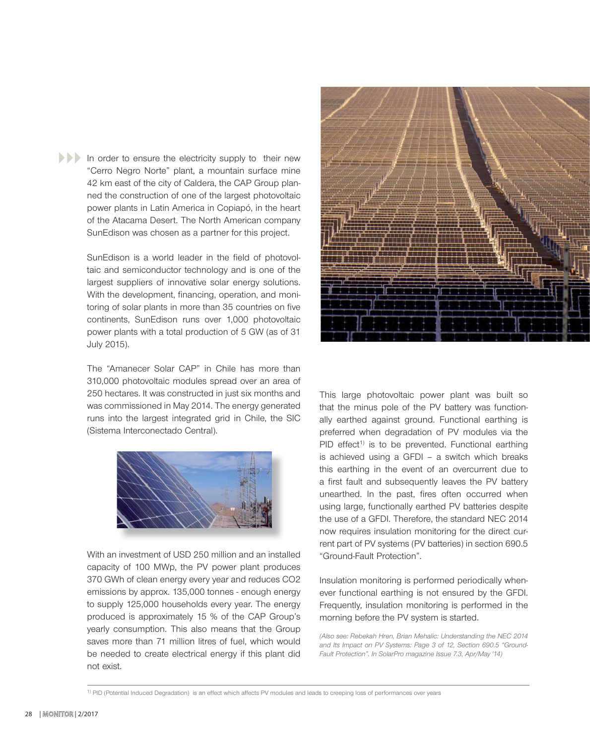In order to ensure the electricity supply to their new "Cerro Negro Norte" plant, a mountain surface mine 42 km east of the city of Caldera, the CAP Group planned the construction of one of the largest photovoltaic power plants in Latin America in Copiapó, in the heart of the Atacama Desert. The North American company SunEdison was chosen as a partner for this project.

> SunEdison is a world leader in the field of photovoltaic and semiconductor technology and is one of the largest suppliers of innovative solar energy solutions. With the development, financing, operation, and monitoring of solar plants in more than 35 countries on five continents, SunEdison runs over 1,000 photovoltaic power plants with a total production of 5 GW (as of 31 July 2015).

> The "Amanecer Solar CAP" in Chile has more than 310,000 photovoltaic modules spread over an area of 250 hectares. It was constructed in just six months and was commissioned in May 2014. The energy generated runs into the largest integrated grid in Chile, the SIC (Sistema Interconectado Central).



With an investment of USD 250 million and an installed capacity of 100 MWp, the PV power plant produces 370 GWh of clean energy every year and reduces CO2 emissions by approx. 135,000 tonnes - enough energy to supply 125,000 households every year. The energy produced is approximately 15 % of the CAP Group's yearly consumption. This also means that the Group saves more than 71 million litres of fuel, which would be needed to create electrical energy if this plant did not exist.



This large photovoltaic power plant was built so that the minus pole of the PV battery was functionally earthed against ground. Functional earthing is preferred when degradation of PV modules via the  $PID$  effect<sup>1)</sup> is to be prevented. Functional earthing is achieved using a GFDI – a switch which breaks this earthing in the event of an overcurrent due to a first fault and subsequently leaves the PV battery unearthed. In the past, fires often occurred when using large, functionally earthed PV batteries despite the use of a GFDI. Therefore, the standard NEC 2014 now requires insulation monitoring for the direct current part of PV systems (PV batteries) in section 690.5 "Ground-Fault Protection".

Insulation monitoring is performed periodically whenever functional earthing is not ensured by the GFDI. Frequently, insulation monitoring is performed in the morning before the PV system is started.

*(Also see: Rebekah Hren, Brian Mehalic: Understanding the NEC 2014 and Its Impact on PV Systems: Page 3 of 12, Section 690.5 "Ground-Fault Protection". In SolarPro magazine Issue 7.3, Apr/May '14)*

<sup>1)</sup> PID (Potential Induced Degradation) is an effect which affects PV modules and leads to creeping loss of performances over years